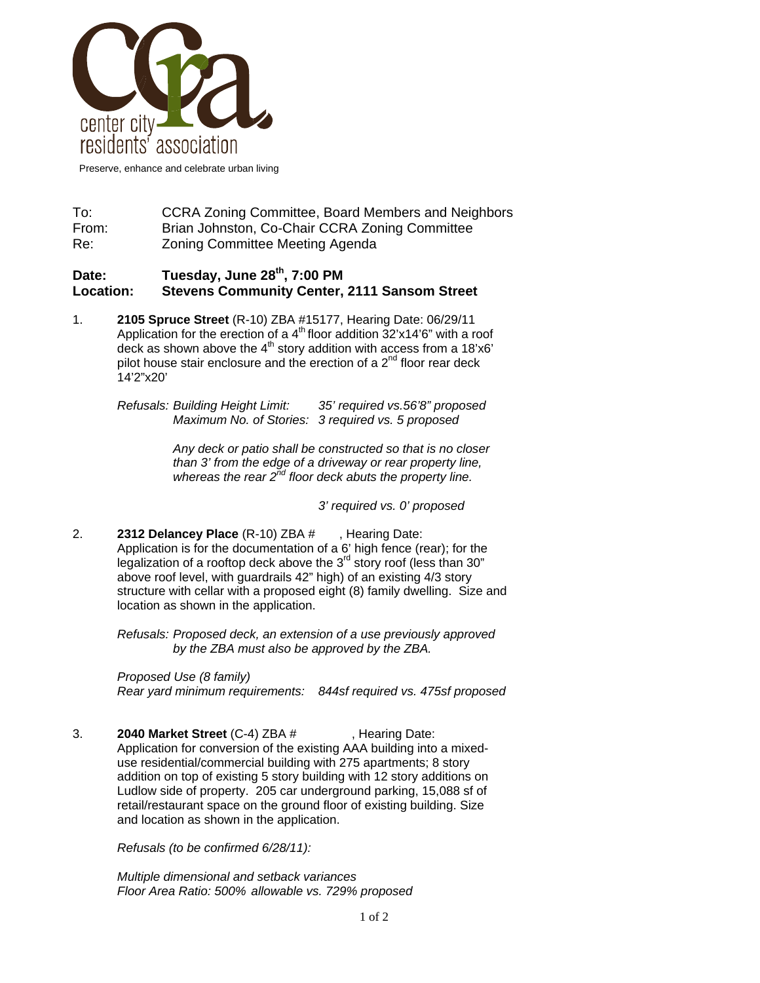

Preserve, enhance and celebrate urban living

To: CCRA Zoning Committee, Board Members and Neighbors From: Brian Johnston, Co-Chair CCRA Zoning Committee Re: Zoning Committee Meeting Agenda

## **Date: Tuesday, June 28th, 7:00 PM Location: Stevens Community Center, 2111 Sansom Street**

1. **2105 Spruce Street** (R-10) ZBA #15177, Hearing Date: 06/29/11 Application for the erection of a  $4<sup>th</sup>$  floor addition 32'x14'6" with a roof deck as shown above the  $4<sup>th</sup>$  story addition with access from a 18'x6' pilot house stair enclosure and the erection of a  $2<sup>nd</sup>$  floor rear deck 14'2"x20'

> *Refusals: Building Height Limit: 35' required vs.56'8" proposed Maximum No. of Stories: 3 required vs. 5 proposed*

> > *Any deck or patio shall be constructed so that is no closer than 3' from the edge of a driveway or rear property line, whereas the rear 2nd floor deck abuts the property line.*

> > > *3' required vs. 0' proposed*

2. **2312 Delancey Place** (R-10) ZBA # , Hearing Date: Application is for the documentation of a 6' high fence (rear); for the legalization of a rooftop deck above the 3<sup>rd</sup> story roof (less than 30" above roof level, with guardrails 42" high) of an existing 4/3 story structure with cellar with a proposed eight (8) family dwelling. Size and location as shown in the application.

> *Refusals: Proposed deck, an extension of a use previously approved by the ZBA must also be approved by the ZBA.*

 *Proposed Use (8 family) Rear yard minimum requirements: 844sf required vs. 475sf proposed* 

3. **2040 Market Street** (C-4) ZBA # , Hearing Date: Application for conversion of the existing AAA building into a mixeduse residential/commercial building with 275 apartments; 8 story addition on top of existing 5 story building with 12 story additions on Ludlow side of property. 205 car underground parking, 15,088 sf of retail/restaurant space on the ground floor of existing building. Size and location as shown in the application.

*Refusals (to be confirmed 6/28/11):* 

*Multiple dimensional and setback variances Floor Area Ratio: 500% allowable vs. 729% proposed*